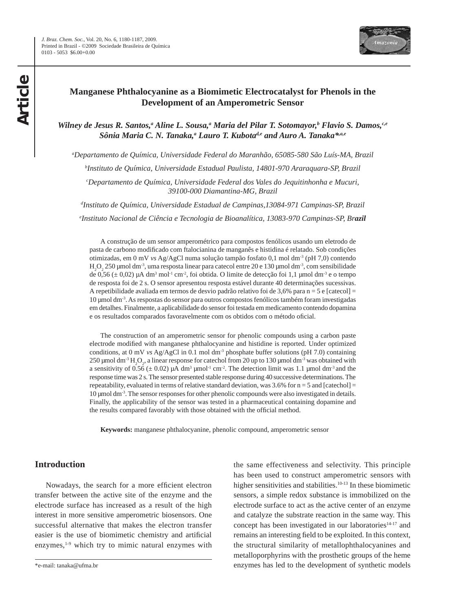

# **Manganese Phthalocyanine as a Biomimetic Electrocatalyst for Phenols in the Development of an Amperometric Sensor**

Wilney de Jesus R. Santos,<sup>a</sup> Aline L. Sousa,<sup>a</sup> Maria del Pilar T. Sotomayor,<sup>b</sup> Flavio S. Damos,<sup>c,e</sup> Sônia Maria C. N. Tanaka,<sup>a</sup> Lauro T. Kubota<sup>d,e</sup> and Auro A. Tanaka<sup>\*,a,e</sup>

*a Departamento de Química, Universidade Federal do Maranhão, 65085-580 São Luís-MA, Brazil*

*b Instituto de Química, Universidade Estadual Paulista, 14801-970 Araraquara-SP, Brazil*

*c Departamento de Química, Universidade Federal dos Vales do Jequitinhonha e Mucuri, 39100-000 Diamantina-MG, Brazil*

*d Instituto de Química, Universidade Estadual de Campinas,13084-971 Campinas-SP, Brazil e Instituto Nacional de Ciência e Tecnologia de Bioanalítica, 13083-970 Campinas-SP, Brazil*

A construção de um sensor amperométrico para compostos fenólicos usando um eletrodo de pasta de carbono modificado com ftalocianina de manganês e histidina é relatado. Sob condições otimizadas, em 0 mV *vs* Ag/AgCl numa solução tampão fosfato 0,1 mol dm-3 (pH 7,0) contendo  $H_2O_2$  250 µmol dm<sup>-3</sup>, uma resposta linear para catecol entre 20 e 130 µmol dm<sup>-3</sup>, com sensibilidade de 0,56  $(\pm 0.02)$  µA dm<sup>3</sup> mol<sup>-1</sup> cm<sup>-2</sup>, foi obtida. O limite de detecção foi 1,1 µmol dm<sup>-3</sup> e o tempo de resposta foi de 2 s. O sensor apresentou resposta estável durante 40 determinações sucessivas. A repetibilidade avaliada em termos de desvio padrão relativo foi de 3,6% para n = 5 e [catecol] = 10 µmol dm-3. As respostas do sensor para outros compostos fenólicos também foram investigadas em detalhes. Finalmente, a aplicabilidade do sensor foi testada em medicamento contendo dopamina e os resultados comparados favoravelmente com os obtidos com o método oficial.

The construction of an amperometric sensor for phenolic compounds using a carbon paste electrode modified with manganese phthalocyanine and histidine is reported. Under optimized conditions, at 0 mV *vs* Ag/AgCl in 0.1 mol dm<sup>-3</sup> phosphate buffer solutions (pH 7.0) containing 250 µmol dm<sup>-3</sup>  $\text{H}_{2}\text{O}_{2}$ , a linear response for catechol from 20 up to 130 µmol dm<sup>-3</sup> was obtained with a sensitivity of 0.56  $(\pm 0.02)$  µA dm<sup>3</sup> µmol<sup>-1</sup> cm<sup>-2</sup>. The detection limit was 1.1 µmol dm<sup>-3</sup> and the response time was 2 s. The sensor presented stable response during 40 successive determinations. The repeatability, evaluated in terms of relative standard deviation, was  $3.6\%$  for  $n = 5$  and [catechol] = 10 µmol dm-3. The sensor responses for other phenolic compounds were also investigated in details. Finally, the applicability of the sensor was tested in a pharmaceutical containing dopamine and the results compared favorably with those obtained with the official method.

**Keywords:** manganese phthalocyanine, phenolic compound, amperometric sensor

# **Introduction**

Nowadays, the search for a more efficient electron transfer between the active site of the enzyme and the electrode surface has increased as a result of the high interest in more sensitive amperometric biosensors. One successful alternative that makes the electron transfer easier is the use of biomimetic chemistry and artificial enzymes,<sup>1-9</sup> which try to mimic natural enzymes with

the same effectiveness and selectivity. This principle has been used to construct amperometric sensors with higher sensitivities and stabilities.<sup>10-13</sup> In these biomimetic sensors, a simple redox substance is immobilized on the electrode surface to act as the active center of an enzyme and catalyze the substrate reaction in the same way. This concept has been investigated in our laboratories $14-17$  and remains an interesting field to be exploited. In this context, the structural similarity of metallophthalocyanines and metalloporphyrins with the prosthetic groups of the heme enzymes has led to the development of synthetic models

<sup>\*</sup>e-mail: tanaka@ufma.br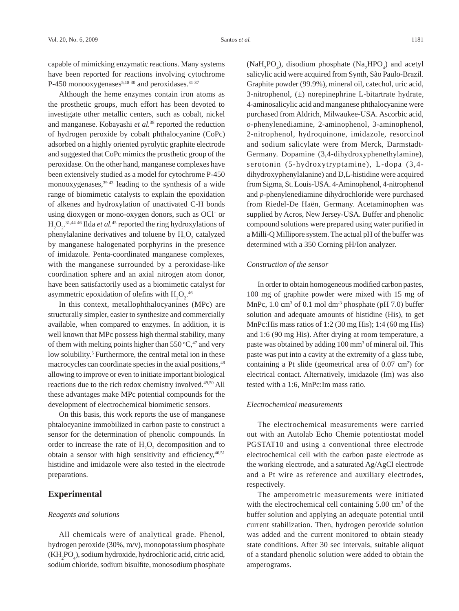capable of mimicking enzymatic reactions. Many systems have been reported for reactions involving cytochrome P-450 monooxygenases<sup>5,18-30</sup> and peroxidases.<sup>31-37</sup>

Although the heme enzymes contain iron atoms as the prosthetic groups, much effort has been devoted to investigate other metallic centers, such as cobalt, nickel and manganese. Kobayashi *et al.*38 reported the reduction of hydrogen peroxide by cobalt phthalocyanine (CoPc) adsorbed on a highly oriented pyrolytic graphite electrode and suggested that CoPc mimics the prosthetic group of the peroxidase. On the other hand, manganese complexes have been extensively studied as a model for cytochrome P-450 monooxygenases,39-43 leading to the synthesis of a wide range of biomimetic catalysts to explain the epoxidation of alkenes and hydroxylation of unactivated C-H bonds using dioxygen or mono-oxygen donors, such as OCl− or  $H_2O_2$ <sup>31,44-46</sup> Ilda *et al*.<sup>45</sup> reported the ring hydroxylations of phenylalanine derivatives and toluene by  $H_2O_2$  catalyzed by manganese halogenated porphyrins in the presence of imidazole. Penta-coordinated manganese complexes, with the manganese surrounded by a peroxidase-like coordination sphere and an axial nitrogen atom donor, have been satisfactorily used as a biomimetic catalyst for asymmetric epoxidation of olefins with  $H_2O_2$ .<sup>46</sup>

In this context, metallophthalocyanines (MPc) are structurally simpler, easier to synthesize and commercially available, when compared to enzymes. In addition, it is well known that MPc possess high thermal stability, many of them with melting points higher than 550  $\mathrm{C}$ ,<sup>47</sup> and very low solubility.<sup>5</sup> Furthermore, the central metal ion in these macrocycles can coordinate species in the axial positions,<sup>48</sup> allowing to improve or even to initiate important biological reactions due to the rich redox chemistry involved.49,50 All these advantages make MPc potential compounds for the development of electrochemical biomimetic sensors.

On this basis, this work reports the use of manganese phtalocyanine immobilized in carbon paste to construct a sensor for the determination of phenolic compounds. In order to increase the rate of  $H_2O_2$  decomposition and to obtain a sensor with high sensitivity and efficiency,<sup>46,51</sup> histidine and imidazole were also tested in the electrode preparations.

# **Experimental**

#### *Reagents and solutions*

All chemicals were of analytical grade. Phenol, hydrogen peroxide (30%, m/v), monopotassium phosphate (KH<sub>2</sub>PO<sub>4</sub>), sodium hydroxide, hydrochloric acid, citric acid, sodium chloride, sodium bisulfite, monosodium phosphate

 $(NaH_2PO_4)$ , disodium phosphate  $(Na_2HPO_4)$  and acetyl salicylic acid were acquired from Synth, São Paulo-Brazil. Graphite powder (99.9%), mineral oil, catechol, uric acid, 3-nitrophenol, (±) norepinephrine L-bitartrate hydrate, 4-aminosalicylic acid and manganese phthalocyanine were purchased from Aldrich, Milwaukee-USA. Ascorbic acid, *o*-phenylenediamine, 2-aminophenol, 3-aminophenol, 2-nitrophenol, hydroquinone, imidazole, resorcinol and sodium salicylate were from Merck, Darmstadt-Germany. Dopamine (3,4-dihydroxyphenethylamine), serotonin (5-hydroxytryptamine), L-dopa (3,4 dihydroxyphenylalanine) and D,L-histidine were acquired from Sigma, St. Louis-USA. 4-Aminophenol, 4-nitrophenol and *p*-phenylenediamine dihydrochloride were purchased from Riedel-De Haën, Germany. Acetaminophen was supplied by Acros, New Jersey-USA. Buffer and phenolic compound solutions were prepared using water purified in a Milli-Q Millipore system. The actual pH of the buffer was determined with a 350 Corning pH/Ion analyzer.

### *Construction of the sensor*

In order to obtain homogeneous modified carbon pastes, 100 mg of graphite powder were mixed with 15 mg of MnPc, 1.0 cm<sup>3</sup> of 0.1 mol dm<sup>-3</sup> phosphate (pH 7.0) buffer solution and adequate amounts of histidine (His), to get MnPc:His mass ratios of 1:2 (30 mg His); 1:4 (60 mg His) and 1:6 (90 mg His). After drying at room temperature, a paste was obtained by adding 100 mm<sup>3</sup> of mineral oil. This paste was put into a cavity at the extremity of a glass tube, containing a Pt slide (geometrical area of 0.07 cm<sup>2</sup>) for electrical contact. Alternatively, imidazole (Im) was also tested with a 1:6, MnPc:Im mass ratio.

### *Electrochemical measurements*

The electrochemical measurements were carried out with an Autolab Echo Chemie potentiostat model PGSTAT10 and using a conventional three electrode electrochemical cell with the carbon paste electrode as the working electrode, and a saturated Ag/AgCl electrode and a Pt wire as reference and auxiliary electrodes, respectively.

The amperometric measurements were initiated with the electrochemical cell containing 5.00 cm<sup>3</sup> of the buffer solution and applying an adequate potential until current stabilization. Then, hydrogen peroxide solution was added and the current monitored to obtain steady state conditions. After 30 sec intervals, suitable aliquot of a standard phenolic solution were added to obtain the amperograms.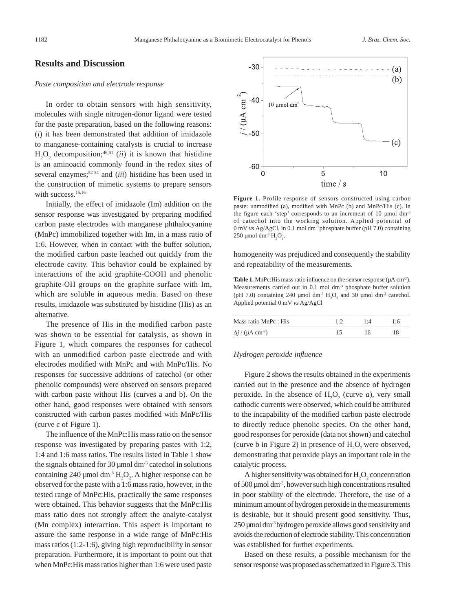### **Results and Discussion**

### *Paste composition and electrode response*

In order to obtain sensors with high sensitivity, molecules with single nitrogen-donor ligand were tested for the paste preparation, based on the following reasons: (*i*) it has been demonstrated that addition of imidazole to manganese-containing catalysts is crucial to increase  $H_2O_2$  decomposition;<sup>46,51</sup> (*ii*) it is known that histidine is an aminoacid commonly found in the redox sites of several enzymes;52-54 and (*iii*) histidine has been used in the construction of mimetic systems to prepare sensors with success.<sup>15,16</sup>

Initially, the effect of imidazole (Im) addition on the sensor response was investigated by preparing modified carbon paste electrodes with manganese phthalocyanine (MnPc) immobilized together with Im, in a mass ratio of 1:6. However, when in contact with the buffer solution, the modified carbon paste leached out quickly from the electrode cavity. This behavior could be explained by interactions of the acid graphite-COOH and phenolic graphite-OH groups on the graphite surface with Im, which are soluble in aqueous media. Based on these results, imidazole was substituted by histidine (His) as an alternative.

The presence of His in the modified carbon paste was shown to be essential for catalysis, as shown in Figure 1, which compares the responses for cathecol with an unmodified carbon paste electrode and with electrodes modified with MnPc and with MnPc/His. No responses for successive additions of catechol (or other phenolic compounds) were observed on sensors prepared with carbon paste without His (curves a and b). On the other hand, good responses were obtained with sensors constructed with carbon pastes modified with MnPc/His (curve c of Figure 1).

The influence of the MnPc:His mass ratio on the sensor response was investigated by preparing pastes with 1:2, 1:4 and 1:6 mass ratios. The results listed in Table 1 show the signals obtained for 30  $\mu$ mol dm<sup>-3</sup> catechol in solutions containing 240 µmol dm<sup>-3</sup>  $H_2O_2$ . A higher response can be observed for the paste with a 1:6 mass ratio, however, in the tested range of MnPc:His, practically the same responses were obtained. This behavior suggests that the MnPc:His mass ratio does not strongly affect the analyte-catalyst (Mn complex) interaction. This aspect is important to assure the same response in a wide range of MnPc:His mass ratios (1:2-1:6), giving high reproducibility in sensor preparation. Furthermore, it is important to point out that when MnPc:His mass ratios higher than 1:6 were used paste



**Figure 1.** Profile response of sensors constructed using carbon paste: unmodified (a), modified with MnPc (b) and MnPc/His (c). In the figure each 'step' corresponds to an increment of 10  $\mu$ mol dm<sup>-3</sup> of catechol into the working solution. Applied potential of 0 mV *vs* Ag/AgCl, in 0.1 mol dm-3 phosphate buffer (pH 7.0) containing 250 μmol dm<sup>-3</sup>  $H_2O_2$ .

homogeneity was prejudiced and consequently the stability and repeatability of the measurements.

**Table 1.** MnPc: His mass ratio influence on the sensor response ( $\mu$ A cm<sup>-2</sup>). Measurements carried out in 0.1 mol dm-3 phosphate buffer solution (pH 7.0) containing 240 µmol dm<sup>-3</sup>  $H_2O_2$  and 30 µmol dm<sup>-3</sup> catechol. Applied potential 0 mV *vs* Ag/AgCl

| Mass ratio MnPc : His               |  |  |
|-------------------------------------|--|--|
| $\Delta j$ / (µA cm <sup>-2</sup> ) |  |  |

### *Hydrogen peroxide influence*

Figure 2 shows the results obtained in the experiments carried out in the presence and the absence of hydrogen peroxide. In the absence of  $H_2O_2$  (curve *a*), very small cathodic currents were observed, which could be attributed to the incapability of the modified carbon paste electrode to directly reduce phenolic species. On the other hand, good responses for peroxide (data not shown) and catechol (curve b in Figure 2) in presence of  $H_2O_2$  were observed, demonstrating that peroxide plays an important role in the catalytic process.

A higher sensitivity was obtained for  $H_2O_2$  concentration of 500 µmol dm-3, however such high concentrations resulted in poor stability of the electrode. Therefore, the use of a minimum amount of hydrogen peroxide in the measurements is desirable, but it should present good sensitivity. Thus, 250 µmol dm-3 hydrogen peroxide allows good sensitivity and avoids the reduction of electrode stability. This concentration was established for further experiments.

Based on these results, a possible mechanism for the sensor response was proposed as schematized in Figure 3. This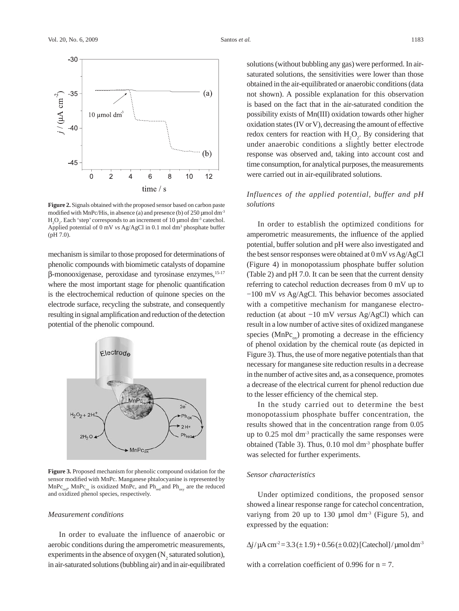

**Figure 2.** Signals obtained with the proposed sensor based on carbon paste modified with MnPc/His, in absence (a) and presence (b) of  $250 \mu$ mol dm<sup>-3</sup>  $H_2O_2$ . Each 'step' corresponds to an increment of 10 µmol dm<sup>-3</sup> catechol. Applied potential of 0 mV *vs* Ag/AgCl in 0.1 mol dm<sup>3</sup> phosphate buffer (pH 7.0).

mechanism is similar to those proposed for determinations of phenolic compounds with biomimetic catalysts of dopamine β-monooxigenase, peroxidase and tyrosinase enzymes,15-17 where the most important stage for phenolic quantification is the electrochemical reduction of quinone species on the electrode surface, recycling the substrate, and consequently resulting in signal amplification and reduction of the detection potential of the phenolic compound.



**Figure 3.** Proposed mechanism for phenolic compound oxidation for the sensor modified with MnPc. Manganese phtalocyanine is represented by  $MnPc_{\text{max}}$ , MnPc<sub>ox</sub> is oxidized MnPc, and Ph<sub>red</sub> and Ph<sub>oxy</sub> are the reduced and oxidized phenol species, respectively.

#### *Measurement conditions*

In order to evaluate the influence of anaerobic or aerobic conditions during the amperometric measurements, experiments in the absence of oxygen  $(N_2^2)$  saturated solution), in air-saturated solutions (bubbling air) and in air-equilibrated

solutions (without bubbling any gas) were performed. In airsaturated solutions, the sensitivities were lower than those obtained in the air-equilibrated or anaerobic conditions (data not shown). A possible explanation for this observation is based on the fact that in the air-saturated condition the possibility exists of Mn(III) oxidation towards other higher oxidation states (IV or V), decreasing the amount of effective redox centers for reaction with  $H_2O_2$ . By considering that under anaerobic conditions a slightly better electrode response was observed and, taking into account cost and time consumption, for analytical purposes, the measurements were carried out in air-equilibrated solutions.

# *Influences of the applied potential, buffer and pH solutions*

In order to establish the optimized conditions for amperometric measurements, the influence of the applied potential, buffer solution and pH were also investigated and the best sensor responses were obtained at 0 mV *vs* Ag/AgCl (Figure 4) in monopotassium phosphate buffer solution (Table 2) and pH 7.0. It can be seen that the current density referring to catechol reduction decreases from 0 mV up to −100 mV *vs* Ag/AgCl. This behavior becomes associated with a competitive mechanism for manganese electroreduction (at about −10 mV *versus* Ag/AgCl) which can result in a low number of active sites of oxidized manganese species ( $MnPc_{av}$ ) promoting a decrease in the efficiency of phenol oxidation by the chemical route (as depicted in Figure 3). Thus, the use of more negative potentials than that necessary for manganese site reduction results in a decrease in the number of active sites and, as a consequence, promotes a decrease of the electrical current for phenol reduction due to the lesser efficiency of the chemical step.

In the study carried out to determine the best monopotassium phosphate buffer concentration, the results showed that in the concentration range from 0.05 up to  $0.25$  mol dm<sup>-3</sup> practically the same responses were obtained (Table 3). Thus,  $0.10$  mol dm<sup>-3</sup> phosphate buffer was selected for further experiments.

### *Sensor characteristics*

Under optimized conditions, the proposed sensor showed a linear response range for catechol concentration, variyng from 20 up to 130  $\mu$ mol dm<sup>-3</sup> (Figure 5), and expressed by the equation:

 $\Delta j/\mu$ A cm<sup>-2</sup> = 3.3 ( $\pm$  1.9) + 0.56 ( $\pm$  0.02) [Catechol] /  $\mu$ mol dm<sup>-3</sup>

with a correlation coefficient of 0.996 for  $n = 7$ .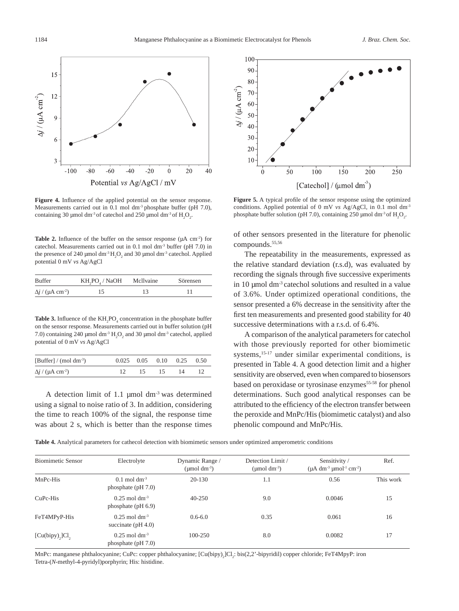

**Figure 4.** Influence of the applied potential on the sensor response. Measurements carried out in 0.1 mol dm<sup>-3</sup> phosphate buffer (pH 7.0), containing 30 µmol dm<sup>-3</sup> of catechol and 250 µmol dm<sup>-3</sup> of  $H_2O_2$ .

**Table 2.** Influence of the buffer on the sensor response  $(\mu A \text{ cm}^2)$  for catechol. Measurements carried out in 0.1 mol dm-3 buffer (pH 7.0) in the presence of 240 µmol dm<sup>-3</sup>  $H_2O_2$  and 30 µmol dm<sup>-3</sup> catechol. Applied potential 0 mV *vs* Ag/AgCl

| <b>Buffer</b>                       | KH,PO, / NaOH | Mcllvaine | Sörensen |
|-------------------------------------|---------------|-----------|----------|
| $\Delta j$ / (µA cm <sup>-2</sup> ) |               |           |          |

**Table 3.** Influence of the  $KH_2PO_4$  concentration in the phosphate buffer on the sensor response. Measurements carried out in buffer solution (pH 7.0) containing 240 µmol dm<sup>-3</sup>  $H_2O_2$  and 30 µmol dm<sup>-3</sup> catechol, applied potential of 0 mV *vs* Ag/AgCl

| [Buffer] / $\rm(mol\ dm^{-3})$      |            | $0.025$ $0.05$ $0.10$ $0.25$ $0.50$ |    |  |
|-------------------------------------|------------|-------------------------------------|----|--|
| $\Delta j$ / (µA cm <sup>-2</sup> ) | $12 \t 15$ | $\frac{15}{2}$                      | 14 |  |

A detection limit of 1.1  $\mu$ mol dm<sup>-3</sup> was determined using a signal to noise ratio of 3. In addition, considering the time to reach 100% of the signal, the response time was about 2 s, which is better than the response times



**Figure 5.** A typical profile of the sensor response using the optimized conditions. Applied potential of 0 mV *vs* Ag/AgCl, in 0.1 mol dm-3 phosphate buffer solution (pH 7.0), containing 250 µmol dm<sup>-3</sup> of  $H_2O_2$ .

of other sensors presented in the literature for phenolic compounds.55,56

The repeatability in the measurements, expressed as the relative standard deviation (r.s.d), was evaluated by recording the signals through five successive experiments in 10 µmol dm-3 catechol solutions and resulted in a value of 3.6%. Under optimized operational conditions, the sensor presented a 6% decrease in the sensitivity after the first ten measurements and presented good stability for 40 successive determinations with a r.s.d. of 6.4%.

A comparison of the analytical parameters for catechol with those previously reported for other biomimetic systems,<sup>15-17</sup> under similar experimental conditions, is presented in Table 4. A good detection limit and a higher sensitivity are observed, even when compared to biosensors based on peroxidase or tyrosinase enzymes<sup>55-58</sup> for phenol determinations. Such good analytical responses can be attributed to the efficiency of the electron transfer between the peroxide and MnPc/His (biomimetic catalyst) and also phenolic compound and MnPc/His.

**Table 4.** Analytical parameters for cathecol detection with biomimetic sensors under optimized amperometric conditions

| <b>Biomimetic Sensor</b> | Electrolyte                                         | Dynamic Range /<br>( $\mu$ mol dm <sup>-3</sup> ) | Detection Limit /<br>( $\mu$ mol dm <sup>-3</sup> ) | Sensitivity /<br>$(\mu A dm^{-3} \mu mol^{-1} cm^{-2})$ | Ref.      |
|--------------------------|-----------------------------------------------------|---------------------------------------------------|-----------------------------------------------------|---------------------------------------------------------|-----------|
| MnPc-His                 | $0.1$ mol dm <sup>-3</sup><br>phosphate $(pH 7.0)$  | 20-130                                            | 1.1                                                 | 0.56                                                    | This work |
| CuPc-His                 | $0.25$ mol dm <sup>-3</sup><br>phosphate $(pH 6.9)$ | $40 - 250$                                        | 9.0                                                 | 0.0046                                                  | 15        |
| FeT4MPyP-His             | $0.25$ mol dm <sup>-3</sup><br>succinate $(pH 4.0)$ | $0.6 - 6.0$                                       | 0.35                                                | 0.061                                                   | 16        |
| [Cu(bipy),]Cl,           | $0.25$ mol dm <sup>-3</sup><br>phosphate $(pH 7.0)$ | $100 - 250$                                       | 8.0                                                 | 0.0082                                                  | 17        |

MnPc: manganese phthalocyanine; CuPc: copper phthalocyanine; [Cu(bipy)<sub>2</sub>]Cl<sub>2</sub>: bis(2,2'-bipyridil) copper chloride; FeT4MpyP: iron Tetra-(*N*-methyl-4-pyridyl)porphyrin; His: histidine.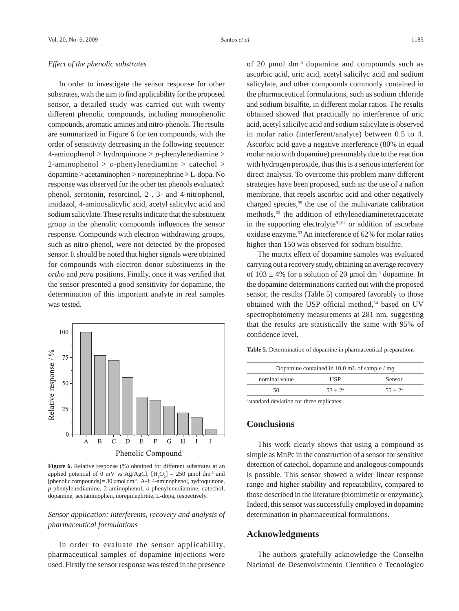#### *Effect of the phenolic substrates*

In order to investigate the sensor response for other substrates, with the aim to find applicability for the proposed sensor, a detailed study was carried out with twenty different phenolic compounds, including monophenolic compounds, aromatic amines and nitro-phenols. The results are summarized in Figure 6 for ten compounds, with the order of sensitivity decreasing in the following sequence: 4-aminophenol > hydroquinone > *p*-phenylenediamine > 2-aminophenol > *o*-phenylenediamine > catechol > dopamine > acetaminophen > norepinephrine > L-dopa. No response was observed for the other ten phenols evaluated: phenol, serotonin, resorcinol, 2-, 3- and 4-nitrophenol, imidazol, 4-aminosalicylic acid, acetyl salicylyc acid and sodium salicylate. These results indicate that the substituent group in the phenolic compounds influences the sensor response. Compounds with electron withdrawing groups, such as nitro-phenol, were not detected by the proposed sensor. It should be noted that higher signals were obtained for compounds with electron donor substituents in the *ortho* and *para* positions. Finally, once it was verified that the sensor presented a good sensitivity for dopamine, the determination of this important analyte in real samples was tested.



Figure 6. Relative response (%) obtained for different substrates at an applied potential of 0 mV *vs* Ag/AgCl,  $[H_2O_2] = 250 \text{ µmol dm}^3$  and [phenolic compounds] =  $30 \mu$ mol dm<sup>-3</sup>. A-J: 4-aminophenol, hydroquinone, *p*-phenylenediamine, 2-aminophenol, *o*-phenylenediamine, catechol, dopamine, acetaminophen, norepinephrine, L-dopa, respectively.

# *Sensor application: interferents, recovery and analysis of pharmaceutical formulations*

In order to evaluate the sensor applicability, pharmaceutical samples of dopamine injections were used. Firstly the sensor response was tested in the presence of 20 µmol dm-3 dopamine and compounds such as ascorbic acid, uric acid, acetyl salicilyc acid and sodium salicylate, and other compounds commonly contained in the pharmaceutical formulations, such as sodium chloride and sodium bisulfite, in different molar ratios. The results obtained showed that practically no interference of uric acid, acetyl salicilyc acid and sodium salicylate is observed in molar ratio (interferent/analyte) between 0.5 to 4. Ascorbic acid gave a negative interference (80% in equal molar ratio with dopamine) presumably due to the reaction with hydrogen peroxide, thus this is a serious interferent for direct analysis. To overcome this problem many different strategies have been proposed, such as: the use of a nafion membrane, that repels ascorbic acid and other negatively charged species,59 the use of the multivariate calibration methods,<sup>60</sup> the addition of ethylenediaminetetraacetate in the supporting electrolyte<sup>61,62</sup> or addition of ascorbate oxidase enzyme.<sup>63</sup> An interference of 62% for molar ratios higher than 150 was observed for sodium bisulfite.

The matrix effect of dopamine samples was evaluated carrying out a recovery study, obtaining an average recovery of  $103 \pm 4\%$  for a solution of 20 µmol dm<sup>-3</sup> dopamine. In the dopamine determinations carried out with the proposed sensor, the results (Table 5) compared favorably to those obtained with the USP official method,<sup>64</sup> based on UV spectrophotometry measurements at 281 nm, suggesting that the results are statistically the same with 95% of confidence level.

**Table 5.** Determination of dopamine in pharmaceutical preparations

| Dopamine contained in $10.0$ mL of sample / mg |            |            |  |
|------------------------------------------------|------------|------------|--|
| nominal value                                  | USP        | Sensor     |  |
| 50                                             | $53 + 2^a$ | $55 + 2^a$ |  |

a standard deviation for three replicates.

# **Conclusions**

This work clearly shows that using a compound as simple as MnPc in the construction of a sensor for sensitive detection of catechol, dopamine and analogous compounds is possible. This sensor showed a wider linear response range and higher stability and repeatability, compared to those described in the literature (biomimetic or enzymatic). Indeed, this sensor was successfully employed in dopamine determination in pharmaceutical formulations.

### **Acknowledgments**

The authors gratefully acknowledge the Conselho Nacional de Desenvolvimento Científico e Tecnológico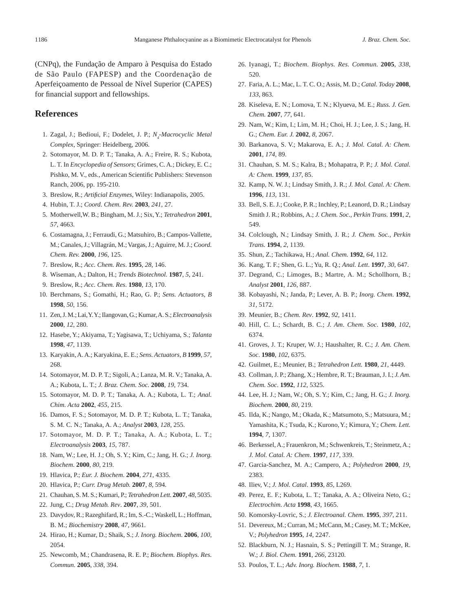(CNPq), the Fundação de Amparo à Pesquisa do Estado de São Paulo (FAPESP) and the Coordenação de Aperfeiçoamento de Pessoal de Nível Superior (CAPES) for financial support and fellowships.

# **References**

- 1. Zagal, J.; Bedioui, F.; Dodelet, J. P.; N<sub>4</sub>-Macrocyclic Metal *Complex*, Springer: Heidelberg, 2006.
- 2. Sotomayor, M. D. P. T.; Tanaka, A. A.; Freire, R. S.; Kubota, L. T. In *Encyclopedia of Sensors*; Grimes, C. A.; Dickey, E. C.; Pishko, M. V., eds., American Scientific Publishers: Stevenson Ranch, 2006, pp. 195-210.
- 3. Breslow, R.; *Artificial Enzymes*, Wiley: Indianapolis, 2005.
- 4. Hubin, T. J.; *Coord. Chem. Rev.* **2003**, *241*, 27.
- 5. Motherwell,W. B.; Bingham, M. J.; Six, Y.; *Tetrahedron* **2001**, *57*, 4663.
- 6. Costamagna, J.; Ferraudi, G.; Matsuhiro, B.; Campos-Vallette, M.; Canales, J.; Villagrán, M.; Vargas, J.; Aguirre, M. J.; *Coord. Chem. Rev.* **2000**, *196*, 125.
- 7. Breslow, R.; *Acc. Chem. Res*. **1995**, *28*, 146.
- 8. Wiseman, A.; Dalton, H.; *Trends Biotechnol.* **1987**, *5*, 241.
- 9. Breslow, R.; *Acc. Chem. Res*. **1980**, *13*, 170.
- 10. Berchmans, S.; Gomathi, H.; Rao, G. P.; *Sens. Actuators, B* **1998**, *50*, 156.
- 11. Zen, J. M.; Lai, Y. Y.; Ilangovan, G.; Kumar, A. S.; *Electroanalysis* **2000**, *12*, 280.
- 12. Hasebe, Y.; Akiyama, T.; Yagisawa, T.; Uchiyama, S.; *Talanta* **1998**, *47*, 1139.
- 13. Karyakin, A. A.; Karyakina, E. E.; *Sens. Actuators, B* **1999**, *57*, 268.
- 14. Sotomayor, M. D. P. T.; Sigoli, A.; Lanza, M. R. V.; Tanaka, A. A.; Kubota, L. T.; *J. Braz. Chem. Soc.* **2008**, *19*, 734.
- 15. Sotomayor, M. D. P. T.; Tanaka, A. A.; Kubota, L. T.; *Anal. Chim. Acta* **2002**, *455*, 215.
- 16. Damos, F. S.; Sotomayor, M. D. P. T.; Kubota, L. T.; Tanaka, S. M. C. N.; Tanaka, A. A.; *Analyst* **2003**, *128*, 255.
- 17. Sotomayor, M. D. P. T.; Tanaka, A. A.; Kubota, L. T.; *Electroanalysis* **2003**, *15*, 787.
- 18. Nam, W.; Lee, H. J.; Oh, S. Y.; Kim, C.; Jang, H. G.; *J. Inorg. Biochem*. **2000**, *80*, 219.
- 19. Hlavica, P.; *Eur. J. Biochem*. **2004**, *271*, 4335.
- 20. Hlavica, P.; *Curr. Drug Metab.* **2007**, *8*, 594.
- 21. Chauhan, S. M. S.; Kumari, P.; *Tetrahedron Lett.* **2007**, *48*, 5035.
- 22. Jung, C.; *Drug Metab. Rev*. **2007**, *39*, 501.
- 23. Davydov, R.; Razeghifard, R.; Im, S.-C.; Waskell, L.; Hoffman, B. M.; *Biochemistry* **2008**, *47*, 9661.
- 24. Hirao, H.; Kumar, D.; Shaik, S.; *J. Inorg. Biochem*. **2006**, *100*, 2054.
- 25. Newcomb, M.; Chandrasena, R. E. P.; *Biochem. Biophys. Res. Commun.* **2005**, *338*, 394.
- 26. Iyanagi, T.; *Biochem. Biophys. Res. Commun.* **2005**, *338*, 520.
- 27. Faria, A. L.; Mac, L. T. C. O.; Assis, M. D.; *Catal. Today* **2008**, *133*, 863.
- 28. Kiseleva, E. N.; Lomova, T. N.; Klyueva, M. E.; *Russ. J. Gen. Chem.* **2007**, *77*, 641.
- 29. Nam, W.; Kim, I.; Lim, M. H.; Choi, H. J.; Lee, J. S.; Jang, H. G.; *Chem. Eur. J.* **2002**, *8*, 2067.
- 30. Barkanova, S. V.; Makarova, E. A.; *J. Mol. Catal. A: Chem.* **2001**, *174*, 89.
- 31. Chauhan, S. M. S.; Kalra, B.; Mohapatra, P. P.; *J. Mol. Catal. A: Chem*. **1999**, *137*, 85.
- 32. Kamp, N. W. J.; Lindsay Smith, J. R.; *J. Mol. Catal. A: Chem*. **1996**, *113*, 131.
- 33. Bell, S. E. J.; Cooke, P. R.; Inchley, P.; Leanord, D. R.; Lindsay Smith J. R.; Robbins*,* A.; *J. Chem. Soc., Perkin Trans.* **1991**, *2*, 549.
- 34. Colclough, N.; Lindsay Smith*,* J. R.; *J. Chem. Soc., Perkin Trans.* **1994**, *2*, 1139.
- 35. Shun, Z.; Tachikawa, H.; *Anal. Chem.* **1992**, *64*, 112.
- 36. Kang, T. F.; Shen, G. L.; Yu, R. Q.; *Anal. Lett*. **1997**, *30*, 647.
- 37. Degrand, C.; Limoges, B.; Martre, A. M.; Schollhorn, B.; *Analyst* **2001**, *126*, 887.
- 38. Kobayashi, N.; Janda, P.; Lever, A. B. P.; *Inorg. Chem*. **1992**, *31*, 5172.
- 39. Meunier, B.; *Chem. Rev*. **1992**, *92*, 1411.
- 40. Hill, C. L.; Schardt, B. C.; *J. Am. Chem. Soc*. **1980**, *102*, 6374.
- 41. Groves, J. T.; Kruper, W. J.; Haushalter, R. C.; *J. Am. Chem. Soc*. **1980**, *102*, 6375.
- 42. Guilmet, E.; Meunier, B.; *Tetrahedron Lett.* **1980**, *21*, 4449.
- 43. Collman, J. P.; Zhang, X.; Hembre, R. T.; Brauman, J. I.; *J. Am. Chem. Soc*. **1992**, *112*, 5325.
- 44. Lee, H. J.; Nam, W.; Oh, S. Y.; Kim, C.; Jang, H. G.; *J. Inorg. Biochem.* **2000**, *80*, 219.
- 45. Ilda, K.; Nango, M.; Okada, K.; Matsumoto, S.; Matsuura, M.; Yamashita, K.; Tsuda, K.; Kurono, Y.; Kimura, Y.; *Chem. Lett.* **1994**, *7*, 1307.
- 46. Berkessel, A.; Frauenkron, M.; Schwenkreis, T.; Steinmetz, A.; *J. Mol. Catal. A: Chem*. **1997**, *117*, 339.
- 47. Garcia-Sanchez, M. A.; Campero, A.; *Polyhedron* **2000**, *19*, 2383.
- 48. Iliev, V.; *J. Mol. Catal*. **1993**, *85*, L269.
- 49. Perez, E. F.; Kubota, L. T.; Tanaka, A. A.; Oliveira Neto, G.; *Electrochim. Acta* **1998**, *43*, 1665.
- 50. Komorsky-Lovric, S.; *J. Electroanal. Chem.* **1995**, *397*, 211.
- 51. Devereux, M.; Curran, M.; McCann, M.; Casey, M. T.; McKee, V.; *Polyhedron* **1995**, *14*, 2247.
- 52. Blackburn, N. J.; Hasnain, S. S.; Pettingill T. M.; Strange, R. W.; *J. Biol. Chem.* **1991**, *266*, 23120.
- 53. Poulos, T. L.; *Adv. Inorg. Biochem.* **1988**, *7*, 1.